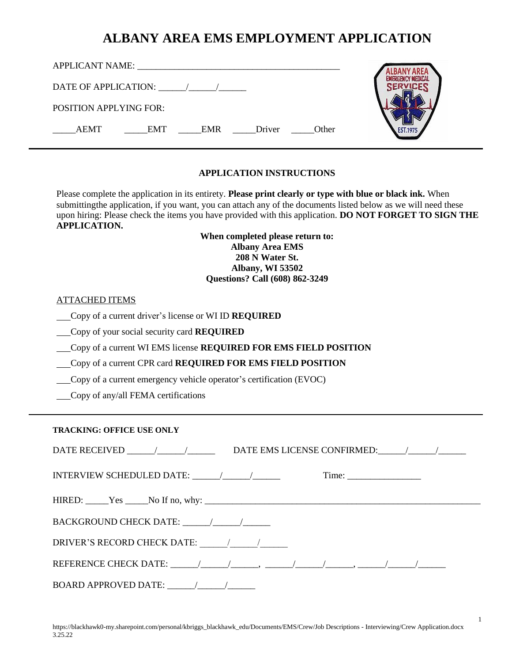| <b>APPLICANT NAME:</b><br><u> 1980 - Jan Samuel Barbara, martin a shekara 1980 - An tsa a tsa a tsa a tsa a tsa a tsa a tsa a tsa a tsa a t</u> |  |
|-------------------------------------------------------------------------------------------------------------------------------------------------|--|
| DATE OF APPLICATION: / /                                                                                                                        |  |
| POSITION APPLYING FOR:                                                                                                                          |  |
| Driver<br><b>AEMT</b><br><b>EMR</b><br>Other<br><b>EMT</b>                                                                                      |  |

#### **APPLICATION INSTRUCTIONS**

Please complete the application in its entirety. **Please print clearly or type with blue or black ink.** When submittingthe application, if you want, you can attach any of the documents listed below as we will need these upon hiring: Please check the items you have provided with this application. **DO NOT FORGET TO SIGN THE APPLICATION.**

> **When completed please return to: Albany Area EMS 208 N Water St. Albany, WI 53502 Questions? Call (608) 862-3249**

#### ATTACHED ITEMS

Copy of a current driver's license or WI ID **REQUIRED**

Copy of your social security card **REQUIRED**

Copy of a current WI EMS license **REQUIRED FOR EMS FIELD POSITION**

Copy of a current CPR card **REQUIRED FOR EMS FIELD POSITION**

- Copy of a current emergency vehicle operator's certification (EVOC)
- Copy of any/all FEMA certifications

#### **TRACKING: OFFICE USE ONLY**

| INTERVIEW SCHEDULED DATE: $\frac{1}{\frac{1}{2} \cdot \frac{1}{2} \cdot \frac{1}{2} \cdot \frac{1}{2} \cdot \frac{1}{2} \cdot \frac{1}{2} \cdot \frac{1}{2} \cdot \frac{1}{2} \cdot \frac{1}{2} \cdot \frac{1}{2} \cdot \frac{1}{2} \cdot \frac{1}{2} \cdot \frac{1}{2} \cdot \frac{1}{2} \cdot \frac{1}{2} \cdot \frac{1}{2} \cdot \frac{1}{2} \cdot \frac{1}{2} \cdot \frac{1}{2} \cdot \frac{1}{2} \cdot \frac{1}{2} \cdot$ |  |
|--------------------------------------------------------------------------------------------------------------------------------------------------------------------------------------------------------------------------------------------------------------------------------------------------------------------------------------------------------------------------------------------------------------------------------|--|
|                                                                                                                                                                                                                                                                                                                                                                                                                                |  |
|                                                                                                                                                                                                                                                                                                                                                                                                                                |  |
|                                                                                                                                                                                                                                                                                                                                                                                                                                |  |
|                                                                                                                                                                                                                                                                                                                                                                                                                                |  |
|                                                                                                                                                                                                                                                                                                                                                                                                                                |  |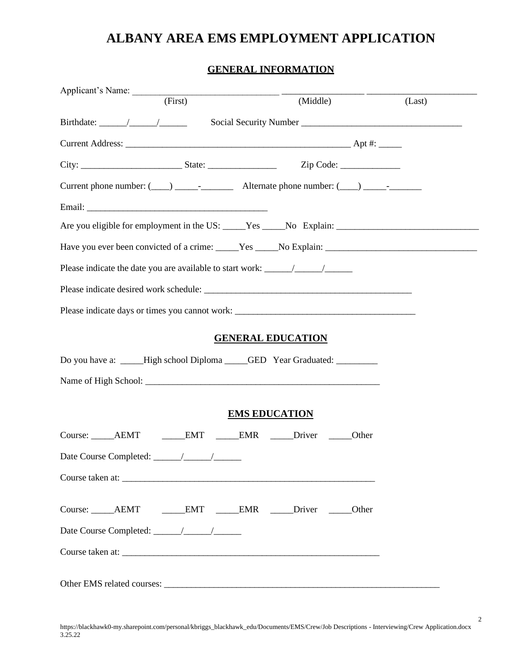#### **GENERAL INFORMATION**

| Applicant's Name: (First)                                                         |                          |        |
|-----------------------------------------------------------------------------------|--------------------------|--------|
|                                                                                   | (Middle)                 | (Last) |
|                                                                                   |                          |        |
|                                                                                   |                          |        |
|                                                                                   |                          |        |
|                                                                                   |                          |        |
|                                                                                   |                          |        |
|                                                                                   |                          |        |
|                                                                                   |                          |        |
|                                                                                   |                          |        |
| Please indicate desired work schedule:                                            |                          |        |
| Please indicate days or times you cannot work: __________________________________ |                          |        |
|                                                                                   | <b>GENERAL EDUCATION</b> |        |
| Do you have a: _____High school Diploma _____GED Year Graduated: _________        |                          |        |
|                                                                                   |                          |        |
|                                                                                   | <b>EMS EDUCATION</b>     |        |
|                                                                                   |                          |        |
|                                                                                   |                          |        |
| Course taken at:                                                                  |                          |        |
|                                                                                   |                          |        |
|                                                                                   |                          |        |
| Course taken at:                                                                  |                          |        |
| Other EMS related courses:                                                        |                          |        |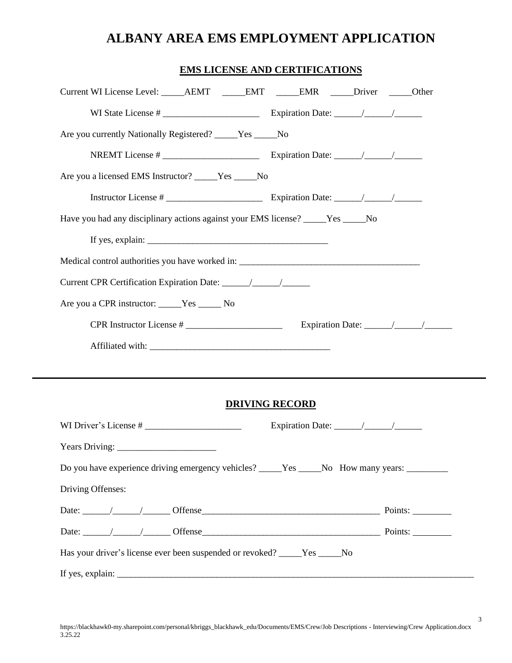### **EMS LICENSE AND CERTIFICATIONS**

| Current WI License Level: _______AEMT ______EMT ______EMR _____Driver ______Other                                                                                         |                       |  |
|---------------------------------------------------------------------------------------------------------------------------------------------------------------------------|-----------------------|--|
|                                                                                                                                                                           |                       |  |
| Are you currently Nationally Registered? _____Yes ____No                                                                                                                  |                       |  |
|                                                                                                                                                                           |                       |  |
| Are you a licensed EMS Instructor? _____Yes ____No                                                                                                                        |                       |  |
|                                                                                                                                                                           |                       |  |
| Have you had any disciplinary actions against your EMS license? _____Yes _____No                                                                                          |                       |  |
| If yes, explain: $\sqrt{\frac{2}{1-\frac{1}{2}} \cdot \frac{1}{2-\frac{1}{2}} \cdot \frac{1}{2-\frac{1}{2}} \cdot \frac{1}{2-\frac{1}{2}} \cdot \frac{1}{2-\frac{1}{2}}}$ |                       |  |
| Medical control authorities you have worked in: ________________________________                                                                                          |                       |  |
|                                                                                                                                                                           |                       |  |
| Are you a CPR instructor: _____Yes ______ No                                                                                                                              |                       |  |
|                                                                                                                                                                           |                       |  |
|                                                                                                                                                                           |                       |  |
|                                                                                                                                                                           |                       |  |
|                                                                                                                                                                           |                       |  |
|                                                                                                                                                                           | <b>DRIVING RECORD</b> |  |
| WI Driver's License #                                                                                                                                                     |                       |  |
|                                                                                                                                                                           |                       |  |
| Do you have experience driving emergency vehicles? _____Yes _____No How many years: _________                                                                             |                       |  |
| Driving Offenses:                                                                                                                                                         |                       |  |
|                                                                                                                                                                           |                       |  |
|                                                                                                                                                                           |                       |  |
| Has your driver's license ever been suspended or revoked? _____Yes _____No                                                                                                |                       |  |
|                                                                                                                                                                           |                       |  |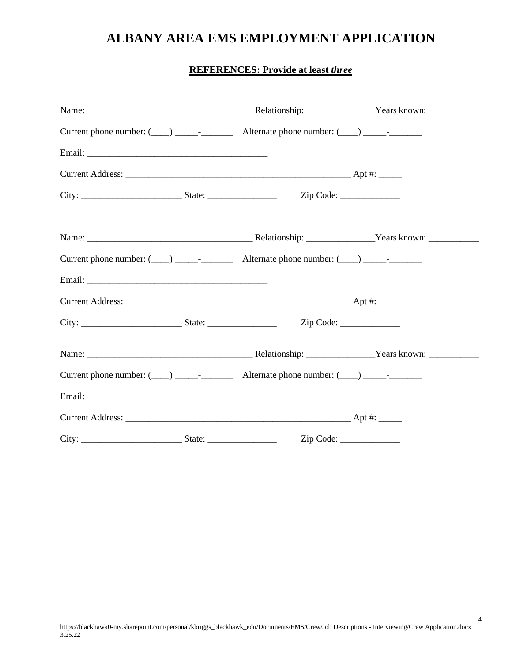### **REFERENCES: Provide at least** *three*

|  | Zip Code: |
|--|-----------|
|  |           |
|  |           |
|  |           |
|  |           |
|  |           |
|  |           |
|  |           |
|  |           |
|  |           |
|  |           |